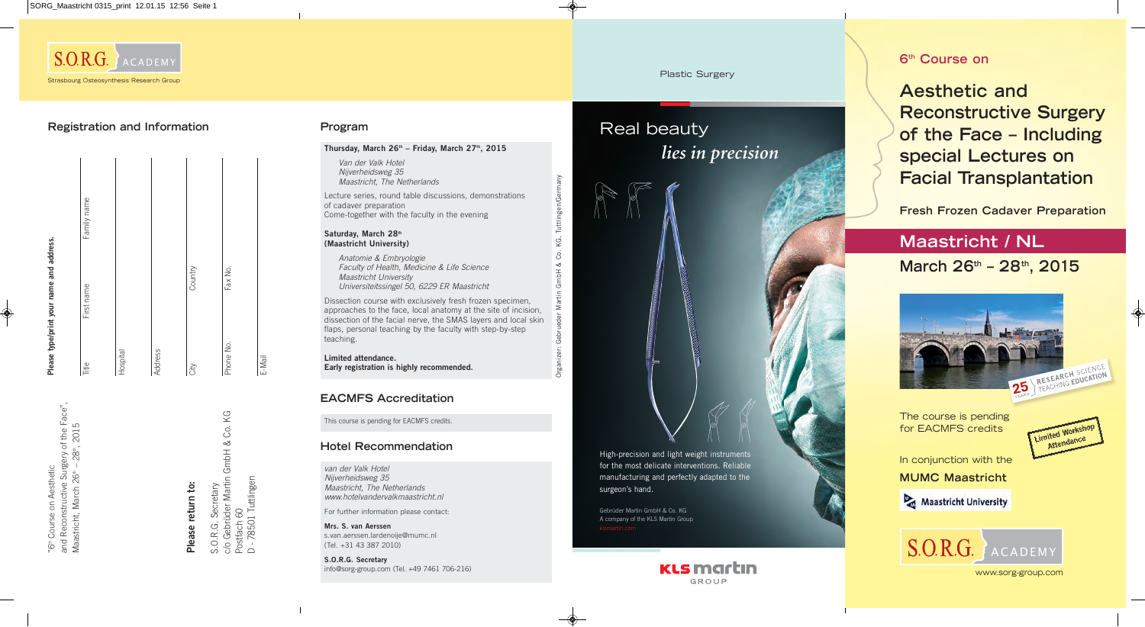# **6th Course on**

# **Aesthetic and Reconstructive Surgery of the Face – Including special Lectures on Facial Transplantation**



# **Maastricht / NL March 26th – 28th, 2015**



www.sorg-group.com

**Fresh Frozen Cadaver Preparation**

In conjunction with the **MUMC Maastricht**



Maastricht University

The course is pending for EACMFS credits

S.O.R.G. Secretary<br>c/o Gebrüder Martin GmbH & Co. KG<br>Postfach 60<br>D - 78501 Tuttlingen c/o Gebrüder Martin GmbH & Co. KG D - 78501 Tuttlingen S.O.R.G. Secretary Postfach 60

and Reconstructive Surgery of the Face", Maastricht, March 26th – 28th, 2015



Please return to: **Please return to:**

|           | Please type/print your name and address. |             |
|-----------|------------------------------------------|-------------|
| Title     | First name                               | Family name |
| Hospital  |                                          |             |
| Address   |                                          |             |
| City      | Country                                  |             |
| Phone No. | Fax No.                                  |             |
|           |                                          |             |

E-Mail

# **Registration and Information**

#### Saturday, March 28<sup>th</sup> **(Maastricht University)**

th Course on Aesthetic

Van der Valk Hotel Nijverheidsweg 35 Maastricht, The Netherlands

Lecture series, round table discussions, demonstrations of cadaver preparation Come-together with the faculty in the evening

Anatomie & Embryologie Faculty of Health, Medicine & Life Science Maastricht University Universiteitssingel 50, 6229 ER Maastricht

Dissection course with exclusively fresh frozen specimen, approaches to the face, local anatomy at the site of incision, dissection of the facial nerve, the SMAS layers and local skin flaps, personal teaching by the faculty with step-by-step teaching.

**Limited attendance. Early registration is highly recommended.** Organizer: Gebrueder Martin GmbH & Co. KG, Tuttlingen/Germany

ු

rganizer:

Tuttlingen/Ger

ΚG, Ŝ.  $\sim$ 

## **Program**

### Thursday, March 26<sup>th</sup> - Friday, March 27<sup>th</sup>, 2015

van der Valk Hotel Nijverheidsweg 35 Maastricht, The Netherlands www.hotelvandervalkmaastricht.nl

For further information please contact:

**Mrs. S. van Aerssen**  s.van.aerssen.lardenoije@mumc.nl (Tel. +31 43 387 2010)

**S.O.R.G. Secretary** info@sorg-group.com (Tel. +49 7461 706-216)

## **Hotel Recommendation**

This course is pending for EACMFS credits.

## **EACMFS Accreditation**

#### Plastic Surgery

# Real beauty *lies in precision*

High-precision and light weight instruments for the most delicate interventions. Reliable manufacturing and perfectly adapted to the surgeon's hand.

Gebrüder Martin GmbH & Co. KG A company of the KLS Martin Group



"6" Course on Aesthetic<br>and Reconstructive Surgery of the Face",<br>Maastricht, March 26" – 28", 2015